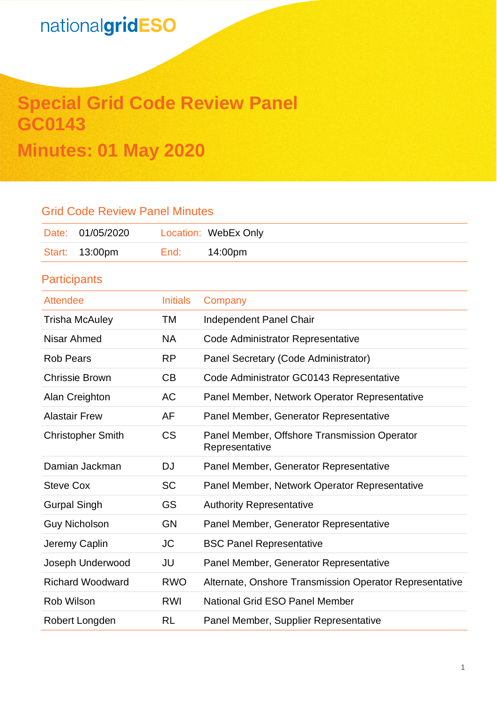# **Special Grid Code Review Panel GC0143 Minutes: 01 May 2020**

## Grid Code Review Panel Minutes

| Date: 01/05/2020 |      | Location: WebEx Only |
|------------------|------|----------------------|
| Start: 13:00pm   | End: | 14:00pm              |

## **Participants**

| <b>Attendee</b>          | <b>Initials</b> | Company                                                        |
|--------------------------|-----------------|----------------------------------------------------------------|
| <b>Trisha McAuley</b>    | TM              | Independent Panel Chair                                        |
| Nisar Ahmed              | <b>NA</b>       | Code Administrator Representative                              |
| <b>Rob Pears</b>         | <b>RP</b>       | Panel Secretary (Code Administrator)                           |
| <b>Chrissie Brown</b>    | CB              | Code Administrator GC0143 Representative                       |
| Alan Creighton           | <b>AC</b>       | Panel Member, Network Operator Representative                  |
| <b>Alastair Frew</b>     | AF              | Panel Member, Generator Representative                         |
| <b>Christopher Smith</b> | <b>CS</b>       | Panel Member, Offshore Transmission Operator<br>Representative |
| Damian Jackman           | DJ              | Panel Member, Generator Representative                         |
| <b>Steve Cox</b>         | <b>SC</b>       | Panel Member, Network Operator Representative                  |
| <b>Gurpal Singh</b>      | GS              | <b>Authority Representative</b>                                |
| <b>Guy Nicholson</b>     | <b>GN</b>       | Panel Member, Generator Representative                         |
| Jeremy Caplin            | <b>JC</b>       | <b>BSC Panel Representative</b>                                |
| Joseph Underwood         | JU              | Panel Member, Generator Representative                         |
| <b>Richard Woodward</b>  | <b>RWO</b>      | Alternate, Onshore Transmission Operator Representative        |
| <b>Rob Wilson</b>        | RWI             | National Grid ESO Panel Member                                 |
| Robert Longden           | RL              | Panel Member, Supplier Representative                          |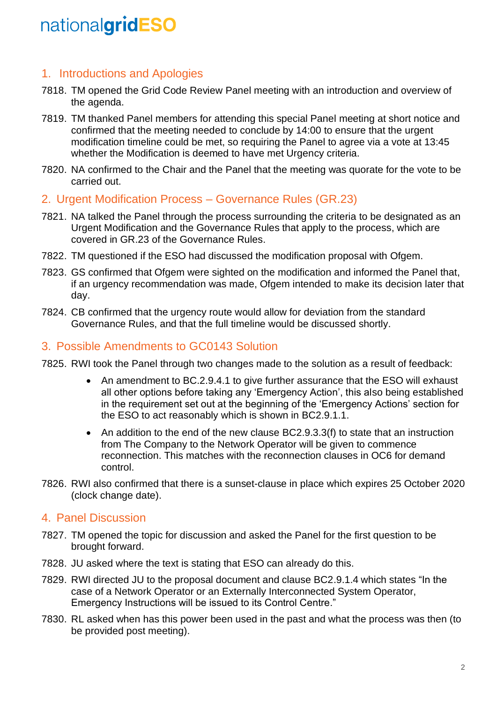### 1. Introductions and Apologies

- 7818. TM opened the Grid Code Review Panel meeting with an introduction and overview of the agenda.
- 7819. TM thanked Panel members for attending this special Panel meeting at short notice and confirmed that the meeting needed to conclude by 14:00 to ensure that the urgent modification timeline could be met, so requiring the Panel to agree via a vote at 13:45 whether the Modification is deemed to have met Urgency criteria.
- 7820. NA confirmed to the Chair and the Panel that the meeting was quorate for the vote to be carried out.
- 2. Urgent Modification Process Governance Rules (GR.23)
- 7821. NA talked the Panel through the process surrounding the criteria to be designated as an Urgent Modification and the Governance Rules that apply to the process, which are covered in GR.23 of the Governance Rules.
- 7822. TM questioned if the ESO had discussed the modification proposal with Ofgem.
- 7823. GS confirmed that Ofgem were sighted on the modification and informed the Panel that, if an urgency recommendation was made, Ofgem intended to make its decision later that day.
- 7824. CB confirmed that the urgency route would allow for deviation from the standard Governance Rules, and that the full timeline would be discussed shortly.

#### 3. Possible Amendments to GC0143 Solution

- 7825. RWI took the Panel through two changes made to the solution as a result of feedback:
	- An amendment to BC.2.9.4.1 to give further assurance that the ESO will exhaust all other options before taking any 'Emergency Action', this also being established in the requirement set out at the beginning of the 'Emergency Actions' section for the ESO to act reasonably which is shown in BC2.9.1.1.
	- An addition to the end of the new clause BC2.9.3.3(f) to state that an instruction from The Company to the Network Operator will be given to commence reconnection. This matches with the reconnection clauses in OC6 for demand control.
- 7826. RWI also confirmed that there is a sunset-clause in place which expires 25 October 2020 (clock change date).

### 4. Panel Discussion

- 7827. TM opened the topic for discussion and asked the Panel for the first question to be brought forward.
- 7828. JU asked where the text is stating that ESO can already do this.
- 7829. RWI directed JU to the proposal document and clause BC2.9.1.4 which states "In the case of a Network Operator or an Externally Interconnected System Operator, Emergency Instructions will be issued to its Control Centre."
- 7830. RL asked when has this power been used in the past and what the process was then (to be provided post meeting).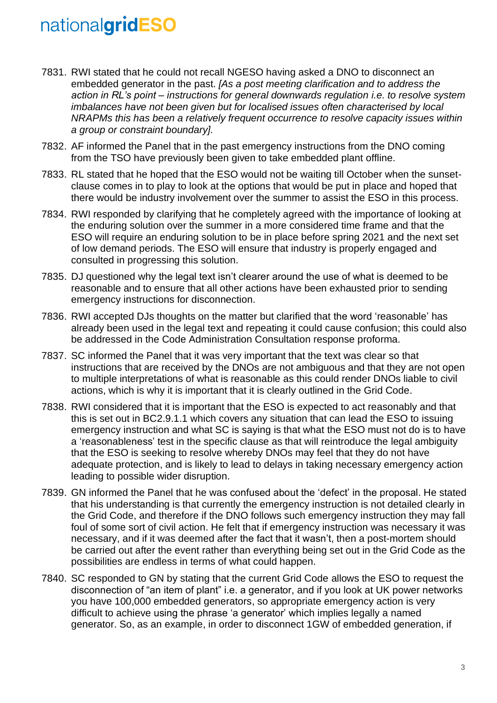- 7831. RWI stated that he could not recall NGESO having asked a DNO to disconnect an embedded generator in the past. *[As a post meeting clarification and to address the action in RL's point – instructions for general downwards regulation i.e. to resolve system imbalances have not been given but for localised issues often characterised by local NRAPMs this has been a relatively frequent occurrence to resolve capacity issues within a group or constraint boundary].*
- 7832. AF informed the Panel that in the past emergency instructions from the DNO coming from the TSO have previously been given to take embedded plant offline.
- 7833. RL stated that he hoped that the ESO would not be waiting till October when the sunsetclause comes in to play to look at the options that would be put in place and hoped that there would be industry involvement over the summer to assist the ESO in this process.
- 7834. RWI responded by clarifying that he completely agreed with the importance of looking at the enduring solution over the summer in a more considered time frame and that the ESO will require an enduring solution to be in place before spring 2021 and the next set of low demand periods. The ESO will ensure that industry is properly engaged and consulted in progressing this solution.
- 7835. DJ questioned why the legal text isn't clearer around the use of what is deemed to be reasonable and to ensure that all other actions have been exhausted prior to sending emergency instructions for disconnection.
- 7836. RWI accepted DJs thoughts on the matter but clarified that the word 'reasonable' has already been used in the legal text and repeating it could cause confusion; this could also be addressed in the Code Administration Consultation response proforma.
- 7837. SC informed the Panel that it was very important that the text was clear so that instructions that are received by the DNOs are not ambiguous and that they are not open to multiple interpretations of what is reasonable as this could render DNOs liable to civil actions, which is why it is important that it is clearly outlined in the Grid Code.
- 7838. RWI considered that it is important that the ESO is expected to act reasonably and that this is set out in BC2.9.1.1 which covers any situation that can lead the ESO to issuing emergency instruction and what SC is saying is that what the ESO must not do is to have a 'reasonableness' test in the specific clause as that will reintroduce the legal ambiguity that the ESO is seeking to resolve whereby DNOs may feel that they do not have adequate protection, and is likely to lead to delays in taking necessary emergency action leading to possible wider disruption.
- 7839. GN informed the Panel that he was confused about the 'defect' in the proposal. He stated that his understanding is that currently the emergency instruction is not detailed clearly in the Grid Code, and therefore if the DNO follows such emergency instruction they may fall foul of some sort of civil action. He felt that if emergency instruction was necessary it was necessary, and if it was deemed after the fact that it wasn't, then a post-mortem should be carried out after the event rather than everything being set out in the Grid Code as the possibilities are endless in terms of what could happen.
- 7840. SC responded to GN by stating that the current Grid Code allows the ESO to request the disconnection of "an item of plant" i.e. a generator, and if you look at UK power networks you have 100,000 embedded generators, so appropriate emergency action is very difficult to achieve using the phrase 'a generator' which implies legally a named generator. So, as an example, in order to disconnect 1GW of embedded generation, if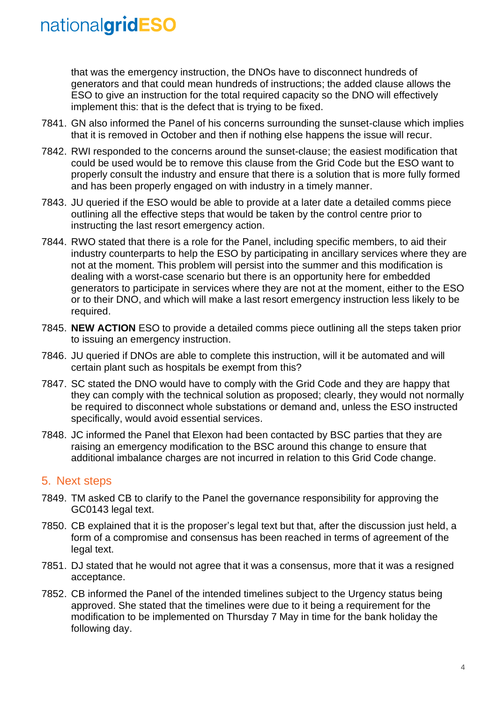that was the emergency instruction, the DNOs have to disconnect hundreds of generators and that could mean hundreds of instructions; the added clause allows the ESO to give an instruction for the total required capacity so the DNO will effectively implement this: that is the defect that is trying to be fixed.

- 7841. GN also informed the Panel of his concerns surrounding the sunset-clause which implies that it is removed in October and then if nothing else happens the issue will recur.
- 7842. RWI responded to the concerns around the sunset-clause; the easiest modification that could be used would be to remove this clause from the Grid Code but the ESO want to properly consult the industry and ensure that there is a solution that is more fully formed and has been properly engaged on with industry in a timely manner.
- 7843. JU queried if the ESO would be able to provide at a later date a detailed comms piece outlining all the effective steps that would be taken by the control centre prior to instructing the last resort emergency action.
- 7844. RWO stated that there is a role for the Panel, including specific members, to aid their industry counterparts to help the ESO by participating in ancillary services where they are not at the moment. This problem will persist into the summer and this modification is dealing with a worst-case scenario but there is an opportunity here for embedded generators to participate in services where they are not at the moment, either to the ESO or to their DNO, and which will make a last resort emergency instruction less likely to be required.
- 7845. **NEW ACTION** ESO to provide a detailed comms piece outlining all the steps taken prior to issuing an emergency instruction.
- 7846. JU queried if DNOs are able to complete this instruction, will it be automated and will certain plant such as hospitals be exempt from this?
- 7847. SC stated the DNO would have to comply with the Grid Code and they are happy that they can comply with the technical solution as proposed; clearly, they would not normally be required to disconnect whole substations or demand and, unless the ESO instructed specifically, would avoid essential services.
- 7848. JC informed the Panel that Elexon had been contacted by BSC parties that they are raising an emergency modification to the BSC around this change to ensure that additional imbalance charges are not incurred in relation to this Grid Code change.

#### 5. Next steps

- 7849. TM asked CB to clarify to the Panel the governance responsibility for approving the GC0143 legal text.
- 7850. CB explained that it is the proposer's legal text but that, after the discussion just held, a form of a compromise and consensus has been reached in terms of agreement of the legal text.
- 7851. DJ stated that he would not agree that it was a consensus, more that it was a resigned acceptance.
- 7852. CB informed the Panel of the intended timelines subject to the Urgency status being approved. She stated that the timelines were due to it being a requirement for the modification to be implemented on Thursday 7 May in time for the bank holiday the following day.